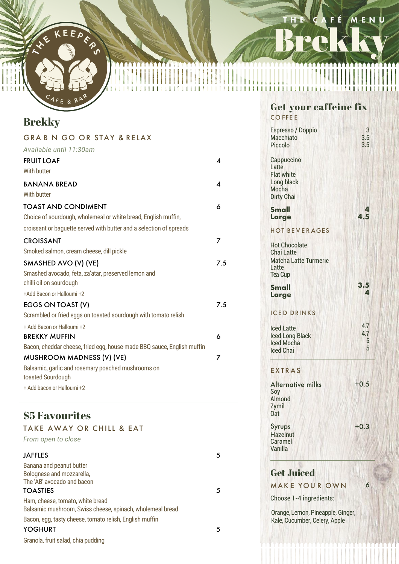IF KEEPFRS

.<br>A F E

# Brekky THE CAFÉ MENU

## **Brekky**

| <b>GRABN GO OR STAY &amp; RELAX</b>                                            |     |
|--------------------------------------------------------------------------------|-----|
| Available until 11:30am                                                        |     |
| <b>FRUIT LOAF</b>                                                              | 4   |
| With butter                                                                    |     |
| <b>BANANA BREAD</b>                                                            | Δ   |
| With butter                                                                    |     |
| <b>TOAST AND CONDIMENT</b>                                                     | 6   |
| Choice of sourdough, wholemeal or white bread, English muffin,                 |     |
| croissant or baguette served with butter and a selection of spreads            |     |
| <b>CROISSANT</b>                                                               | 7   |
| Smoked salmon, cream cheese, dill pickle                                       |     |
| SMASHED AVO (V) (VE)                                                           | 7.5 |
| Smashed avocado, feta, za'atar, preserved lemon and<br>chilli oil on sourdough |     |
| +Add Bacon or Halloumi +2                                                      |     |
| EGGS ON TOAST (V)                                                              | 7.5 |
| Scrambled or fried eggs on toasted sourdough with tomato relish                |     |
| + Add Bacon or Halloumi +2                                                     |     |
| <b>BREKKY MUFFIN</b>                                                           | 6   |
| Bacon, cheddar cheese, fried egg, house-made BBQ sauce, English muffin         |     |
| <b>MUSHROOM MADNESS (V) (VE)</b>                                               | 7   |
| Balsamic, garlic and rosemary poached mushrooms on                             |     |
| toasted Sourdough                                                              |     |
| + Add bacon or Halloumi +2                                                     |     |
|                                                                                |     |

TY

### **\$5 Favourites**

| <b>TAKE AWAY OR CHILL &amp; EAT</b>                       |   |
|-----------------------------------------------------------|---|
| From open to close                                        |   |
| <b>JAFFLES</b>                                            | 5 |
| Banana and peanut butter                                  |   |
| Bolognese and mozzarella,                                 |   |
| The 'AB' avocado and bacon                                |   |
| <b>TOASTIES</b>                                           | 5 |
| Ham, cheese, tomato, white bread                          |   |
| Balsamic mushroom, Swiss cheese, spinach, wholemeal bread |   |
| Bacon, egg, tasty cheese, tomato relish, English muffin   |   |
| YOGHURT                                                   | 5 |
| Granola, fruit salad, chia pudding                        |   |

#### **Get your caffeine fix**  CO FFE E

| <b>Espresso / Doppio</b><br><b>Macchiato</b><br>Piccolo                                              | 3<br>3.5<br>3.5      |
|------------------------------------------------------------------------------------------------------|----------------------|
| Cappuccino<br>Latte<br><b>Flat white</b><br>Long black<br>Mocha<br><b>Dirty Chai</b>                 |                      |
| <b>Small</b><br>Large                                                                                | 4<br>4.5             |
| <b>HOT BEVERAGES</b>                                                                                 |                      |
| <b>Hot Chocolate</b><br><b>Chai Latte</b><br><b>Matcha Latte Turmeric</b><br>Latte<br><b>Tea Cup</b> |                      |
| Small<br>Large                                                                                       | 3.5<br>4             |
| <b>ICED DRINKS</b>                                                                                   |                      |
| <b>Iced Latte</b><br><b>Iced Long Black</b><br><b>Iced Mocha</b><br><b>Iced Chai</b>                 | 4.7<br>4.7<br>5<br>5 |
| <b>EXTRAS</b>                                                                                        |                      |
| <b>Alternative milks</b><br>Soy<br><b>Almond</b><br>Zymil<br>0at                                     | $+0.5$               |
| Syrups<br>Hazelnut<br>Caramel<br>Vanilla                                                             | $+0.3$               |
| <b>Get Juiced</b>                                                                                    |                      |

#### **Get Juiced**

6 MAKE YOUR OWN

Choose 1-4 ingredients:

Orange, Lemon, Pineapple, Ginger, Kale, Cucumber, Celery, Apple